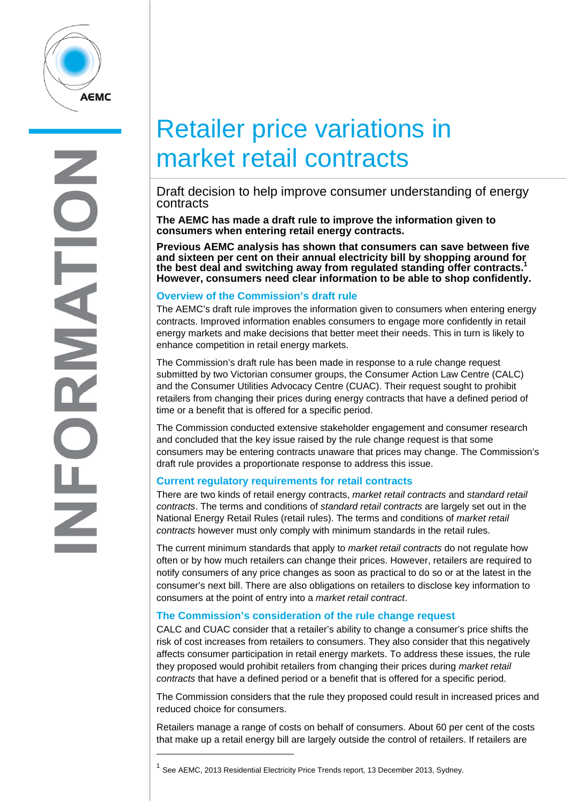

# Retailer price variations in market retail contracts

# Draft decision to help improve consumer understanding of energy contracts

**The AEMC has made a draft rule to improve the information given to consumers when entering retail energy contracts.** 

**Previous AEMC analysis has shown that consumers can save between five and sixteen per cent on their annual electricity bill by shopping around for the best deal and switching away from regulated standing offer contracts.1 However, consumers need clear information to be able to shop confidently.** 

### **Overview of the Commission's draft rule**

The AEMC's draft rule improves the information given to consumers when entering energy contracts. Improved information enables consumers to engage more confidently in retail energy markets and make decisions that better meet their needs. This in turn is likely to enhance competition in retail energy markets.

The Commission's draft rule has been made in response to a rule change request submitted by two Victorian consumer groups, the Consumer Action Law Centre (CALC) and the Consumer Utilities Advocacy Centre (CUAC). Their request sought to prohibit retailers from changing their prices during energy contracts that have a defined period of time or a benefit that is offered for a specific period.

The Commission conducted extensive stakeholder engagement and consumer research and concluded that the key issue raised by the rule change request is that some consumers may be entering contracts unaware that prices may change. The Commission's draft rule provides a proportionate response to address this issue.

# **Current regulatory requirements for retail contracts**

There are two kinds of retail energy contracts, *market retail contracts* and *standard retail contracts*. The terms and conditions of *standard retail contracts* are largely set out in the National Energy Retail Rules (retail rules). The terms and conditions of *market retail contracts* however must only comply with minimum standards in the retail rules.

The current minimum standards that apply to *market retail contracts* do not regulate how often or by how much retailers can change their prices. However, retailers are required to notify consumers of any price changes as soon as practical to do so or at the latest in the consumer's next bill. There are also obligations on retailers to disclose key information to consumers at the point of entry into a *market retail contract*.

# **The Commission's consideration of the rule change request**

CALC and CUAC consider that a retailer's ability to change a consumer's price shifts the risk of cost increases from retailers to consumers. They also consider that this negatively affects consumer participation in retail energy markets. To address these issues, the rule they proposed would prohibit retailers from changing their prices during *market retail contracts* that have a defined period or a benefit that is offered for a specific period.

The Commission considers that the rule they proposed could result in increased prices and reduced choice for consumers.

Retailers manage a range of costs on behalf of consumers. About 60 per cent of the costs that make up a retail energy bill are largely outside the control of retailers. If retailers are

 $\overline{a}$ 

 $<sup>1</sup>$  See AEMC, 2013 Residential Electricity Price Trends report, 13 December 2013, Sydney.</sup>